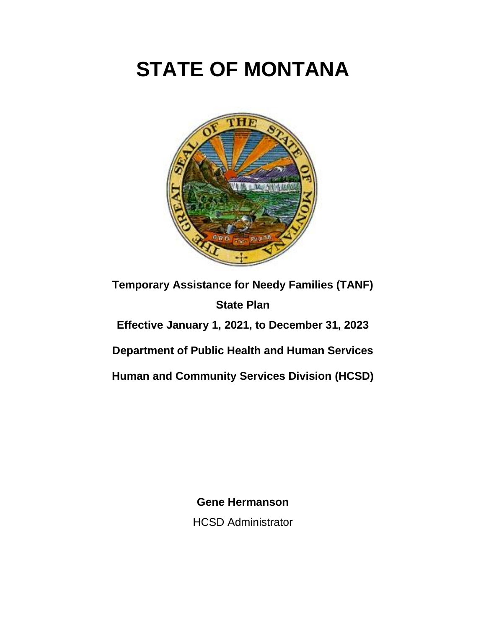# **STATE OF MONTANA**



**Temporary Assistance for Needy Families (TANF) State Plan Effective January 1, 2021, to December 31, 2023 Department of Public Health and Human Services Human and Community Services Division (HCSD)**

> **Gene Hermanson** HCSD Administrator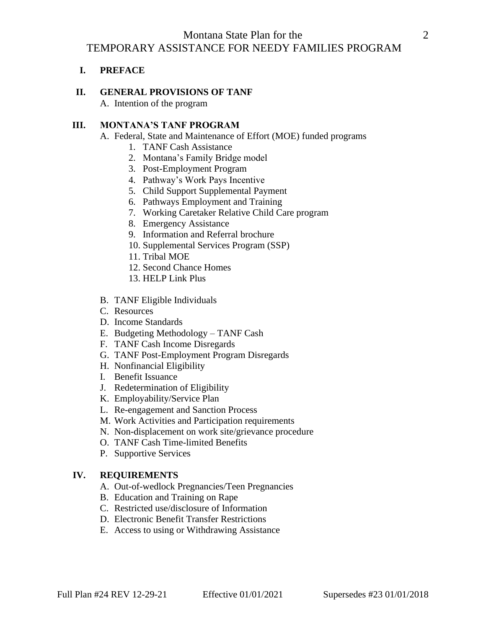## Montana State Plan for the 2 TEMPORARY ASSISTANCE FOR NEEDY FAMILIES PROGRAM

## **I. PREFACE**

#### **II. GENERAL PROVISIONS OF TANF**

A. Intention of the program

#### **III. MONTANA'S TANF PROGRAM**

- A. Federal, State and Maintenance of Effort (MOE) funded programs
	- 1. TANF Cash Assistance
	- 2. Montana's Family Bridge model
	- 3. Post-Employment Program
	- 4. Pathway's Work Pays Incentive
	- 5. Child Support Supplemental Payment
	- 6. Pathways Employment and Training
	- 7. Working Caretaker Relative Child Care program
	- 8. Emergency Assistance
	- 9. Information and Referral brochure
	- 10. Supplemental Services Program (SSP)
	- 11. Tribal MOE
	- 12. Second Chance Homes
	- 13. HELP Link Plus
- B. TANF Eligible Individuals
- C. Resources
- D. Income Standards
- E. Budgeting Methodology TANF Cash
- F. TANF Cash Income Disregards
- G. TANF Post-Employment Program Disregards
- H. Nonfinancial Eligibility
- I. Benefit Issuance
- J. Redetermination of Eligibility
- K. Employability/Service Plan
- L. Re-engagement and Sanction Process
- M. Work Activities and Participation requirements
- N. Non-displacement on work site/grievance procedure
- O. TANF Cash Time-limited Benefits
- P. Supportive Services

#### **IV. REQUIREMENTS**

- A. Out-of-wedlock Pregnancies/Teen Pregnancies
- B. Education and Training on Rape
- C. Restricted use/disclosure of Information
- D. Electronic Benefit Transfer Restrictions
- E. Access to using or Withdrawing Assistance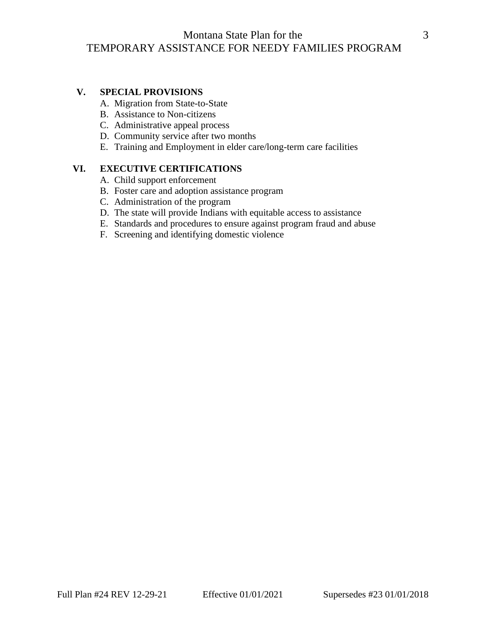## Montana State Plan for the 3 TEMPORARY ASSISTANCE FOR NEEDY FAMILIES PROGRAM

#### **V. SPECIAL PROVISIONS**

- A. Migration from State-to-State
- B. Assistance to Non-citizens
- C. Administrative appeal process
- D. Community service after two months
- E. Training and Employment in elder care/long-term care facilities

## **VI. EXECUTIVE CERTIFICATIONS**

- A. Child support enforcement
- B. Foster care and adoption assistance program
- C. Administration of the program
- D. The state will provide Indians with equitable access to assistance
- E. Standards and procedures to ensure against program fraud and abuse
- F. Screening and identifying domestic violence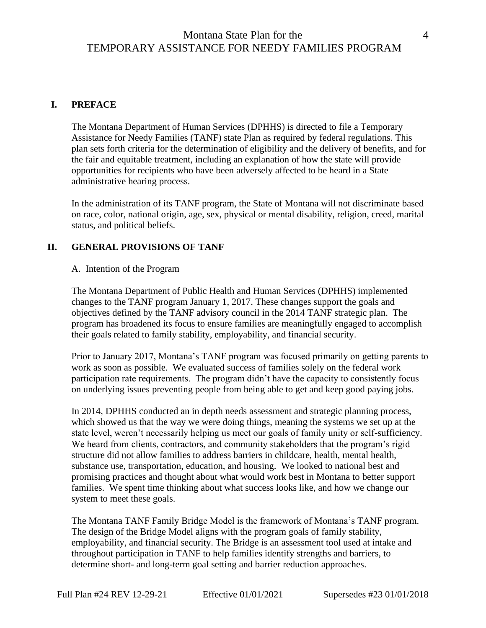## Montana State Plan for the 4 TEMPORARY ASSISTANCE FOR NEEDY FAMILIES PROGRAM

### **I. PREFACE**

The Montana Department of Human Services (DPHHS) is directed to file a Temporary Assistance for Needy Families (TANF) state Plan as required by federal regulations. This plan sets forth criteria for the determination of eligibility and the delivery of benefits, and for the fair and equitable treatment, including an explanation of how the state will provide opportunities for recipients who have been adversely affected to be heard in a State administrative hearing process.

In the administration of its TANF program, the State of Montana will not discriminate based on race, color, national origin, age, sex, physical or mental disability, religion, creed, marital status, and political beliefs.

#### **II. GENERAL PROVISIONS OF TANF**

#### A. Intention of the Program

The Montana Department of Public Health and Human Services (DPHHS) implemented changes to the TANF program January 1, 2017. These changes support the goals and objectives defined by the TANF advisory council in the 2014 TANF strategic plan. The program has broadened its focus to ensure families are meaningfully engaged to accomplish their goals related to family stability, employability, and financial security.

Prior to January 2017, Montana's TANF program was focused primarily on getting parents to work as soon as possible. We evaluated success of families solely on the federal work participation rate requirements. The program didn't have the capacity to consistently focus on underlying issues preventing people from being able to get and keep good paying jobs.

In 2014, DPHHS conducted an in depth needs assessment and strategic planning process, which showed us that the way we were doing things, meaning the systems we set up at the state level, weren't necessarily helping us meet our goals of family unity or self-sufficiency. We heard from clients, contractors, and community stakeholders that the program's rigid structure did not allow families to address barriers in childcare, health, mental health, substance use, transportation, education, and housing. We looked to national best and promising practices and thought about what would work best in Montana to better support families. We spent time thinking about what success looks like, and how we change our system to meet these goals.

The Montana TANF Family Bridge Model is the framework of Montana's TANF program. The design of the Bridge Model aligns with the program goals of family stability, employability, and financial security. The Bridge is an assessment tool used at intake and throughout participation in TANF to help families identify strengths and barriers, to determine short- and long-term goal setting and barrier reduction approaches.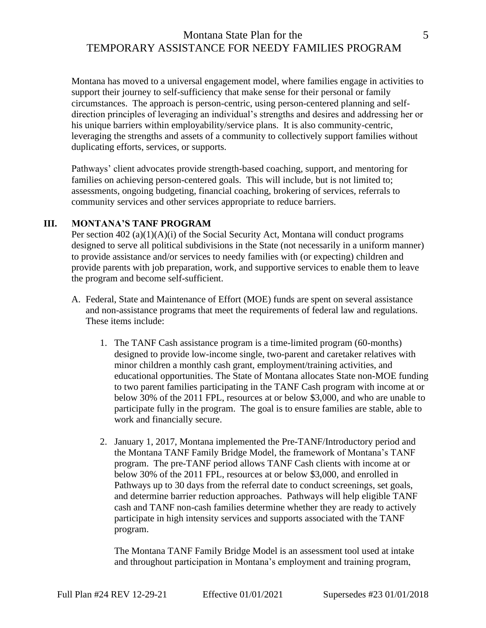# Montana State Plan for the 5 TEMPORARY ASSISTANCE FOR NEEDY FAMILIES PROGRAM

Montana has moved to a universal engagement model, where families engage in activities to support their journey to self-sufficiency that make sense for their personal or family circumstances. The approach is person-centric, using person-centered planning and selfdirection principles of leveraging an individual's strengths and desires and addressing her or his unique barriers within employability/service plans. It is also community-centric, leveraging the strengths and assets of a community to collectively support families without duplicating efforts, services, or supports.

Pathways' client advocates provide strength-based coaching, support, and mentoring for families on achieving person-centered goals. This will include, but is not limited to; assessments, ongoing budgeting, financial coaching, brokering of services, referrals to community services and other services appropriate to reduce barriers.

#### **III. MONTANA'S TANF PROGRAM**

Per section 402 (a)(1)(A)(i) of the Social Security Act, Montana will conduct programs designed to serve all political subdivisions in the State (not necessarily in a uniform manner) to provide assistance and/or services to needy families with (or expecting) children and provide parents with job preparation, work, and supportive services to enable them to leave the program and become self-sufficient.

- A. Federal, State and Maintenance of Effort (MOE) funds are spent on several assistance and non-assistance programs that meet the requirements of federal law and regulations. These items include:
	- 1. The TANF Cash assistance program is a time-limited program (60-months) designed to provide low-income single, two-parent and caretaker relatives with minor children a monthly cash grant, employment/training activities, and educational opportunities. The State of Montana allocates State non-MOE funding to two parent families participating in the TANF Cash program with income at or below 30% of the 2011 FPL, resources at or below \$3,000, and who are unable to participate fully in the program. The goal is to ensure families are stable, able to work and financially secure.
	- 2. January 1, 2017, Montana implemented the Pre-TANF/Introductory period and the Montana TANF Family Bridge Model, the framework of Montana's TANF program. The pre-TANF period allows TANF Cash clients with income at or below 30% of the 2011 FPL, resources at or below \$3,000, and enrolled in Pathways up to 30 days from the referral date to conduct screenings, set goals, and determine barrier reduction approaches. Pathways will help eligible TANF cash and TANF non-cash families determine whether they are ready to actively participate in high intensity services and supports associated with the TANF program.

The Montana TANF Family Bridge Model is an assessment tool used at intake and throughout participation in Montana's employment and training program,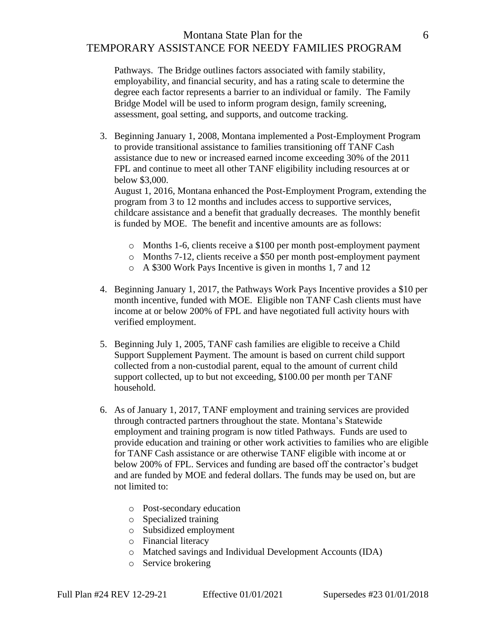## Montana State Plan for the 6 TEMPORARY ASSISTANCE FOR NEEDY FAMILIES PROGRAM

Pathways. The Bridge outlines factors associated with family stability, employability, and financial security, and has a rating scale to determine the degree each factor represents a barrier to an individual or family. The Family Bridge Model will be used to inform program design, family screening, assessment, goal setting, and supports, and outcome tracking.

3. Beginning January 1, 2008, Montana implemented a Post-Employment Program to provide transitional assistance to families transitioning off TANF Cash assistance due to new or increased earned income exceeding 30% of the 2011 FPL and continue to meet all other TANF eligibility including resources at or below \$3,000.

August 1, 2016, Montana enhanced the Post-Employment Program, extending the program from 3 to 12 months and includes access to supportive services, childcare assistance and a benefit that gradually decreases. The monthly benefit is funded by MOE. The benefit and incentive amounts are as follows:

- o Months 1-6, clients receive a \$100 per month post-employment payment
- o Months 7-12, clients receive a \$50 per month post-employment payment
- o A \$300 Work Pays Incentive is given in months 1, 7 and 12
- 4. Beginning January 1, 2017, the Pathways Work Pays Incentive provides a \$10 per month incentive, funded with MOE. Eligible non TANF Cash clients must have income at or below 200% of FPL and have negotiated full activity hours with verified employment.
- 5. Beginning July 1, 2005, TANF cash families are eligible to receive a Child Support Supplement Payment. The amount is based on current child support collected from a non-custodial parent, equal to the amount of current child support collected, up to but not exceeding, \$100.00 per month per TANF household.
- 6. As of January 1, 2017, TANF employment and training services are provided through contracted partners throughout the state. Montana's Statewide employment and training program is now titled Pathways. Funds are used to provide education and training or other work activities to families who are eligible for TANF Cash assistance or are otherwise TANF eligible with income at or below 200% of FPL. Services and funding are based off the contractor's budget and are funded by MOE and federal dollars. The funds may be used on, but are not limited to:
	- o Post-secondary education
	- o Specialized training
	- o Subsidized employment
	- o Financial literacy
	- o Matched savings and Individual Development Accounts (IDA)
	- o Service brokering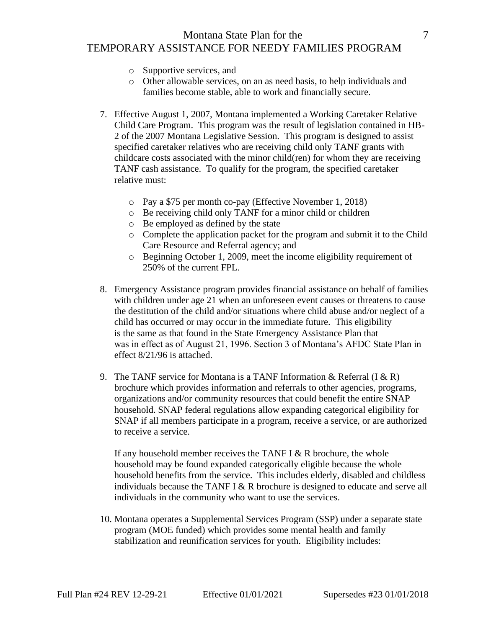# Montana State Plan for the 7 TEMPORARY ASSISTANCE FOR NEEDY FAMILIES PROGRAM

- o Supportive services, and
- o Other allowable services, on an as need basis, to help individuals and families become stable, able to work and financially secure.
- 7. Effective August 1, 2007, Montana implemented a Working Caretaker Relative Child Care Program. This program was the result of legislation contained in HB-2 of the 2007 Montana Legislative Session. This program is designed to assist specified caretaker relatives who are receiving child only TANF grants with childcare costs associated with the minor child(ren) for whom they are receiving TANF cash assistance. To qualify for the program, the specified caretaker relative must:
	- o Pay a \$75 per month co-pay (Effective November 1, 2018)
	- o Be receiving child only TANF for a minor child or children
	- o Be employed as defined by the state
	- o Complete the application packet for the program and submit it to the Child Care Resource and Referral agency; and
	- o Beginning October 1, 2009, meet the income eligibility requirement of 250% of the current FPL.
- 8. Emergency Assistance program provides financial assistance on behalf of families with children under age 21 when an unforeseen event causes or threatens to cause the destitution of the child and/or situations where child abuse and/or neglect of a child has occurred or may occur in the immediate future. This eligibility is the same as that found in the State Emergency Assistance Plan that was in effect as of August 21, 1996. Section 3 of Montana's AFDC State Plan in effect 8/21/96 is attached.
- 9. The TANF service for Montana is a TANF Information & Referral  $(I & R)$ brochure which provides information and referrals to other agencies, programs, organizations and/or community resources that could benefit the entire SNAP household. SNAP federal regulations allow expanding categorical eligibility for SNAP if all members participate in a program, receive a service, or are authorized to receive a service.

If any household member receives the TANF I  $&$  R brochure, the whole household may be found expanded categorically eligible because the whole household benefits from the service. This includes elderly, disabled and childless individuals because the TANF I  $& R$  brochure is designed to educate and serve all individuals in the community who want to use the services.

10. Montana operates a Supplemental Services Program (SSP) under a separate state program (MOE funded) which provides some mental health and family stabilization and reunification services for youth. Eligibility includes: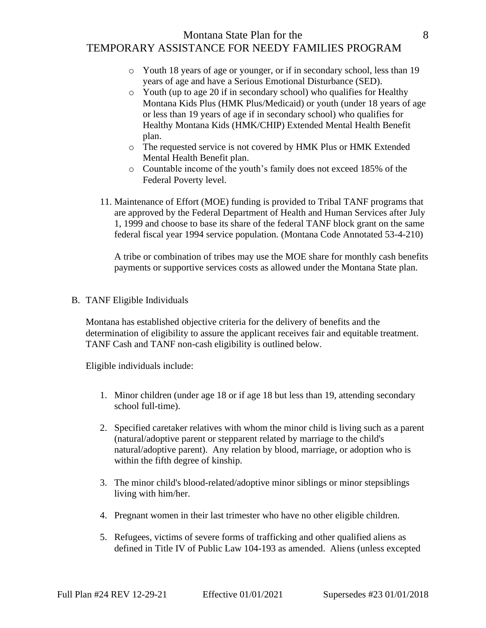## Montana State Plan for the 8 TEMPORARY ASSISTANCE FOR NEEDY FAMILIES PROGRAM

- o Youth 18 years of age or younger, or if in secondary school, less than 19 years of age and have a Serious Emotional Disturbance (SED).
- o Youth (up to age 20 if in secondary school) who qualifies for Healthy Montana Kids Plus (HMK Plus/Medicaid) or youth (under 18 years of age or less than 19 years of age if in secondary school) who qualifies for Healthy Montana Kids (HMK/CHIP) Extended Mental Health Benefit plan.
- o The requested service is not covered by HMK Plus or HMK Extended Mental Health Benefit plan.
- o Countable income of the youth's family does not exceed 185% of the Federal Poverty level.
- 11. Maintenance of Effort (MOE) funding is provided to Tribal TANF programs that are approved by the Federal Department of Health and Human Services after July 1, 1999 and choose to base its share of the federal TANF block grant on the same federal fiscal year 1994 service population. (Montana Code Annotated 53-4-210)

A tribe or combination of tribes may use the MOE share for monthly cash benefits payments or supportive services costs as allowed under the Montana State plan.

B. TANF Eligible Individuals

Montana has established objective criteria for the delivery of benefits and the determination of eligibility to assure the applicant receives fair and equitable treatment. TANF Cash and TANF non-cash eligibility is outlined below.

Eligible individuals include:

- 1. Minor children (under age 18 or if age 18 but less than 19, attending secondary school full-time).
- 2. Specified caretaker relatives with whom the minor child is living such as a parent (natural/adoptive parent or stepparent related by marriage to the child's natural/adoptive parent). Any relation by blood, marriage, or adoption who is within the fifth degree of kinship.
- 3. The minor child's blood-related/adoptive minor siblings or minor stepsiblings living with him/her.
- 4. Pregnant women in their last trimester who have no other eligible children.
- 5. Refugees, victims of severe forms of trafficking and other qualified aliens as defined in Title IV of Public Law 104-193 as amended. Aliens (unless excepted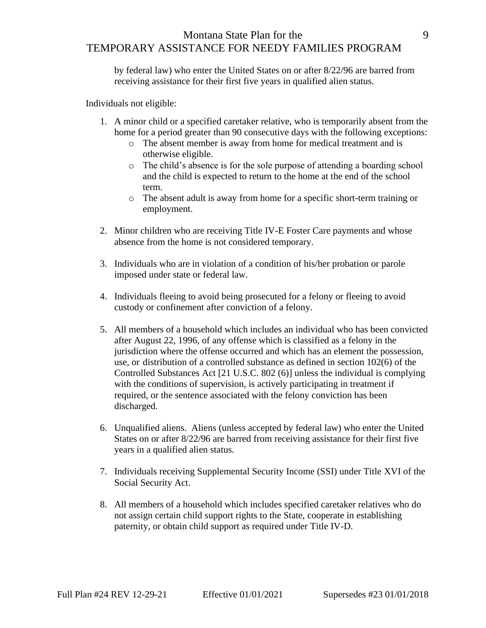## Montana State Plan for the 9 TEMPORARY ASSISTANCE FOR NEEDY FAMILIES PROGRAM

by federal law) who enter the United States on or after 8/22/96 are barred from receiving assistance for their first five years in qualified alien status.

Individuals not eligible:

- 1. A minor child or a specified caretaker relative, who is temporarily absent from the home for a period greater than 90 consecutive days with the following exceptions:
	- o The absent member is away from home for medical treatment and is otherwise eligible.
	- o The child's absence is for the sole purpose of attending a boarding school and the child is expected to return to the home at the end of the school term.
	- o The absent adult is away from home for a specific short-term training or employment.
- 2. Minor children who are receiving Title IV-E Foster Care payments and whose absence from the home is not considered temporary.
- 3. Individuals who are in violation of a condition of his/her probation or parole imposed under state or federal law.
- 4. Individuals fleeing to avoid being prosecuted for a felony or fleeing to avoid custody or confinement after conviction of a felony.
- 5. All members of a household which includes an individual who has been convicted after August 22, 1996, of any offense which is classified as a felony in the jurisdiction where the offense occurred and which has an element the possession, use, or distribution of a controlled substance as defined in section 102(6) of the Controlled Substances Act [21 U.S.C. 802 (6)] unless the individual is complying with the conditions of supervision, is actively participating in treatment if required, or the sentence associated with the felony conviction has been discharged.
- 6. Unqualified aliens. Aliens (unless accepted by federal law) who enter the United States on or after 8/22/96 are barred from receiving assistance for their first five years in a qualified alien status.
- 7. Individuals receiving Supplemental Security Income (SSI) under Title XVI of the Social Security Act.
- 8. All members of a household which includes specified caretaker relatives who do not assign certain child support rights to the State, cooperate in establishing paternity, or obtain child support as required under Title IV-D.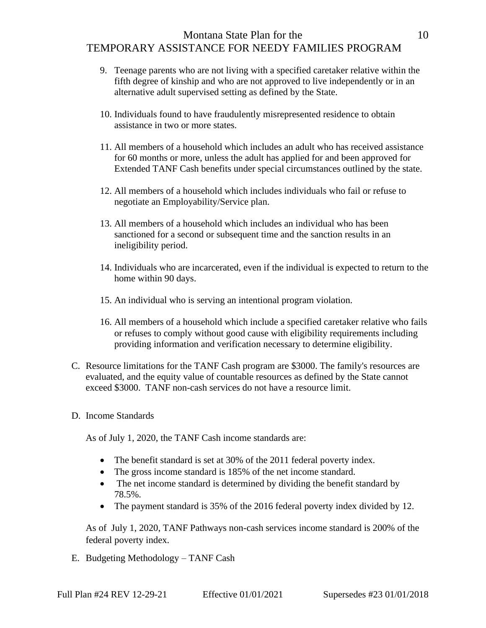## Montana State Plan for the 10 TEMPORARY ASSISTANCE FOR NEEDY FAMILIES PROGRAM

- 9. Teenage parents who are not living with a specified caretaker relative within the fifth degree of kinship and who are not approved to live independently or in an alternative adult supervised setting as defined by the State.
- 10. Individuals found to have fraudulently misrepresented residence to obtain assistance in two or more states.
- 11. All members of a household which includes an adult who has received assistance for 60 months or more, unless the adult has applied for and been approved for Extended TANF Cash benefits under special circumstances outlined by the state.
- 12. All members of a household which includes individuals who fail or refuse to negotiate an Employability/Service plan.
- 13. All members of a household which includes an individual who has been sanctioned for a second or subsequent time and the sanction results in an ineligibility period.
- 14. Individuals who are incarcerated, even if the individual is expected to return to the home within 90 days.
- 15. An individual who is serving an intentional program violation.
- 16. All members of a household which include a specified caretaker relative who fails or refuses to comply without good cause with eligibility requirements including providing information and verification necessary to determine eligibility.
- C. Resource limitations for the TANF Cash program are \$3000. The family's resources are evaluated, and the equity value of countable resources as defined by the State cannot exceed \$3000. TANF non-cash services do not have a resource limit.
- D. Income Standards

As of July 1, 2020, the TANF Cash income standards are:

- The benefit standard is set at 30% of the 2011 federal poverty index.
- The gross income standard is 185% of the net income standard.
- The net income standard is determined by dividing the benefit standard by 78.5%.
- The payment standard is 35% of the 2016 federal poverty index divided by 12.

As of July 1, 2020, TANF Pathways non-cash services income standard is 200% of the federal poverty index.

E. Budgeting Methodology – TANF Cash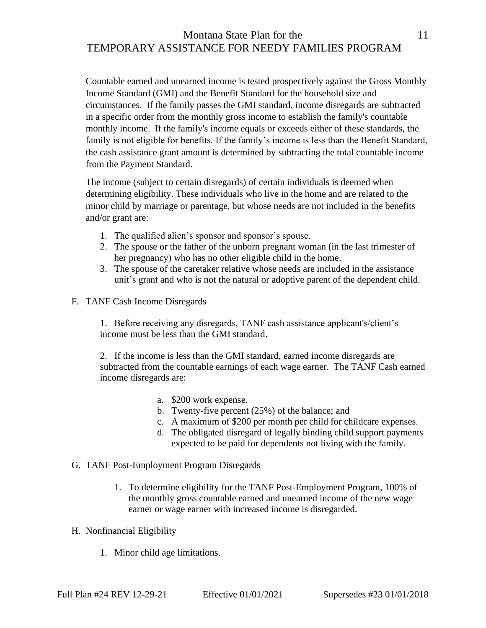# Montana State Plan for the 11 TEMPORARY ASSISTANCE FOR NEEDY FAMILIES PROGRAM

Countable earned and unearned income is tested prospectively against the Gross Monthly Income Standard (GMI) and the Benefit Standard for the household size and circumstances. If the family passes the GMI standard, income disregards are subtracted in a specific order from the monthly gross income to establish the family's countable monthly income. If the family's income equals or exceeds either of these standards, the family is not eligible for benefits. If the family's income is less than the Benefit Standard, the cash assistance grant amount is determined by subtracting the total countable income from the Payment Standard.

The income (subject to certain disregards) of certain individuals is deemed when determining eligibility. These individuals who live in the home and are related to the minor child by marriage or parentage, but whose needs are not included in the benefits and/or grant are:

- 1. The qualified alien's sponsor and sponsor's spouse.
- 2. The spouse or the father of the unborn pregnant woman (in the last trimester of her pregnancy) who has no other eligible child in the home.
- 3. The spouse of the caretaker relative whose needs are included in the assistance unit's grant and who is not the natural or adoptive parent of the dependent child.
- F. TANF Cash Income Disregards

1. Before receiving any disregards, TANF cash assistance applicant's/client's income must be less than the GMI standard.

2. If the income is less than the GMI standard, earned income disregards are subtracted from the countable earnings of each wage earner. The TANF Cash earned income disregards are:

- a. \$200 work expense.
- b. Twenty-five percent (25%) of the balance; and
- c. A maximum of \$200 per month per child for childcare expenses.
- d. The obligated disregard of legally binding child support payments expected to be paid for dependents not living with the family.
- G. TANF Post-Employment Program Disregards
	- 1. To determine eligibility for the TANF Post-Employment Program, 100% of the monthly gross countable earned and unearned income of the new wage earner or wage earner with increased income is disregarded.
- H. Nonfinancial Eligibility
	- 1. Minor child age limitations.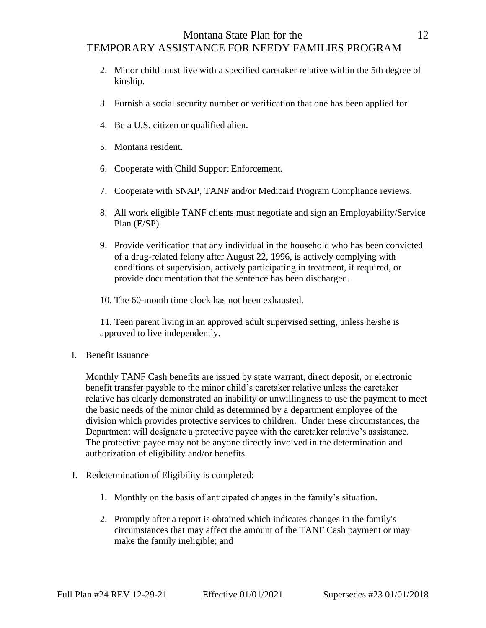# Montana State Plan for the 12 TEMPORARY ASSISTANCE FOR NEEDY FAMILIES PROGRAM

- 2. Minor child must live with a specified caretaker relative within the 5th degree of kinship.
- 3. Furnish a social security number or verification that one has been applied for.
- 4. Be a U.S. citizen or qualified alien.
- 5. Montana resident.
- 6. Cooperate with Child Support Enforcement.
- 7. Cooperate with SNAP, TANF and/or Medicaid Program Compliance reviews.
- 8. All work eligible TANF clients must negotiate and sign an Employability/Service Plan (E/SP).
- 9. Provide verification that any individual in the household who has been convicted of a drug-related felony after August 22, 1996, is actively complying with conditions of supervision, actively participating in treatment, if required, or provide documentation that the sentence has been discharged.

10. The 60-month time clock has not been exhausted.

11. Teen parent living in an approved adult supervised setting, unless he/she is approved to live independently.

I. Benefit Issuance

Monthly TANF Cash benefits are issued by state warrant, direct deposit, or electronic benefit transfer payable to the minor child's caretaker relative unless the caretaker relative has clearly demonstrated an inability or unwillingness to use the payment to meet the basic needs of the minor child as determined by a department employee of the division which provides protective services to children. Under these circumstances, the Department will designate a protective payee with the caretaker relative's assistance. The protective payee may not be anyone directly involved in the determination and authorization of eligibility and/or benefits.

- J. Redetermination of Eligibility is completed:
	- 1. Monthly on the basis of anticipated changes in the family's situation.
	- 2. Promptly after a report is obtained which indicates changes in the family's circumstances that may affect the amount of the TANF Cash payment or may make the family ineligible; and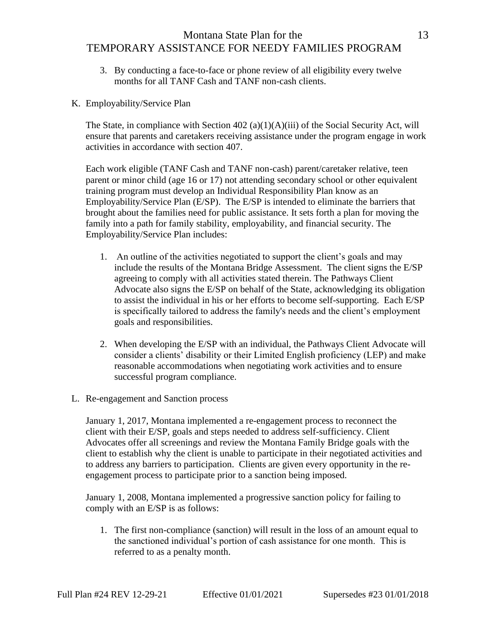# Montana State Plan for the 13 TEMPORARY ASSISTANCE FOR NEEDY FAMILIES PROGRAM

- 3. By conducting a face-to-face or phone review of all eligibility every twelve months for all TANF Cash and TANF non-cash clients.
- K. Employability/Service Plan

The State, in compliance with Section 402 (a)(1)(A)(iii) of the Social Security Act, will ensure that parents and caretakers receiving assistance under the program engage in work activities in accordance with section 407.

Each work eligible (TANF Cash and TANF non-cash) parent/caretaker relative, teen parent or minor child (age 16 or 17) not attending secondary school or other equivalent training program must develop an Individual Responsibility Plan know as an Employability/Service Plan (E/SP). The E/SP is intended to eliminate the barriers that brought about the families need for public assistance. It sets forth a plan for moving the family into a path for family stability, employability, and financial security. The Employability/Service Plan includes:

- 1. An outline of the activities negotiated to support the client's goals and may include the results of the Montana Bridge Assessment. The client signs the E/SP agreeing to comply with all activities stated therein. The Pathways Client Advocate also signs the E/SP on behalf of the State, acknowledging its obligation to assist the individual in his or her efforts to become self-supporting. Each E/SP is specifically tailored to address the family's needs and the client's employment goals and responsibilities.
- 2. When developing the E/SP with an individual, the Pathways Client Advocate will consider a clients' disability or their Limited English proficiency (LEP) and make reasonable accommodations when negotiating work activities and to ensure successful program compliance.
- L. Re-engagement and Sanction process

January 1, 2017, Montana implemented a re-engagement process to reconnect the client with their E/SP, goals and steps needed to address self-sufficiency. Client Advocates offer all screenings and review the Montana Family Bridge goals with the client to establish why the client is unable to participate in their negotiated activities and to address any barriers to participation. Clients are given every opportunity in the reengagement process to participate prior to a sanction being imposed.

January 1, 2008, Montana implemented a progressive sanction policy for failing to comply with an E/SP is as follows:

1. The first non-compliance (sanction) will result in the loss of an amount equal to the sanctioned individual's portion of cash assistance for one month. This is referred to as a penalty month.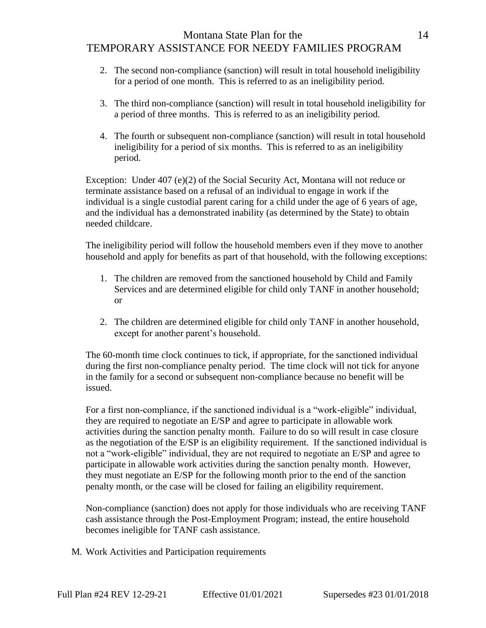## Montana State Plan for the 14 TEMPORARY ASSISTANCE FOR NEEDY FAMILIES PROGRAM

- 2. The second non-compliance (sanction) will result in total household ineligibility for a period of one month. This is referred to as an ineligibility period.
- 3. The third non-compliance (sanction) will result in total household ineligibility for a period of three months. This is referred to as an ineligibility period.
- 4. The fourth or subsequent non-compliance (sanction) will result in total household ineligibility for a period of six months. This is referred to as an ineligibility period.

Exception: Under 407 (e)(2) of the Social Security Act, Montana will not reduce or terminate assistance based on a refusal of an individual to engage in work if the individual is a single custodial parent caring for a child under the age of 6 years of age, and the individual has a demonstrated inability (as determined by the State) to obtain needed childcare.

The ineligibility period will follow the household members even if they move to another household and apply for benefits as part of that household, with the following exceptions:

- 1. The children are removed from the sanctioned household by Child and Family Services and are determined eligible for child only TANF in another household; or
- 2. The children are determined eligible for child only TANF in another household, except for another parent's household.

The 60-month time clock continues to tick, if appropriate, for the sanctioned individual during the first non-compliance penalty period. The time clock will not tick for anyone in the family for a second or subsequent non-compliance because no benefit will be issued.

For a first non-compliance, if the sanctioned individual is a "work-eligible" individual, they are required to negotiate an E/SP and agree to participate in allowable work activities during the sanction penalty month. Failure to do so will result in case closure as the negotiation of the E/SP is an eligibility requirement. If the sanctioned individual is not a "work-eligible" individual, they are not required to negotiate an E/SP and agree to participate in allowable work activities during the sanction penalty month. However, they must negotiate an E/SP for the following month prior to the end of the sanction penalty month, or the case will be closed for failing an eligibility requirement.

Non-compliance (sanction) does not apply for those individuals who are receiving TANF cash assistance through the Post-Employment Program; instead, the entire household becomes ineligible for TANF cash assistance.

M. Work Activities and Participation requirements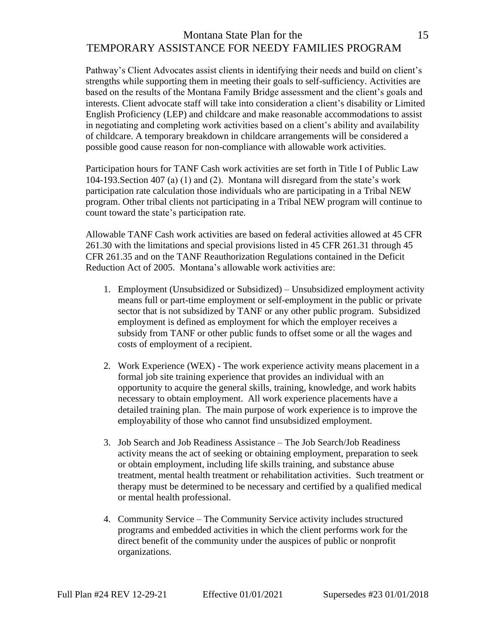# Montana State Plan for the 15 TEMPORARY ASSISTANCE FOR NEEDY FAMILIES PROGRAM

Pathway's Client Advocates assist clients in identifying their needs and build on client's strengths while supporting them in meeting their goals to self-sufficiency. Activities are based on the results of the Montana Family Bridge assessment and the client's goals and interests. Client advocate staff will take into consideration a client's disability or Limited English Proficiency (LEP) and childcare and make reasonable accommodations to assist in negotiating and completing work activities based on a client's ability and availability of childcare. A temporary breakdown in childcare arrangements will be considered a possible good cause reason for non-compliance with allowable work activities.

Participation hours for TANF Cash work activities are set forth in Title I of Public Law 104-193.Section 407 (a) (1) and (2). Montana will disregard from the state's work participation rate calculation those individuals who are participating in a Tribal NEW program. Other tribal clients not participating in a Tribal NEW program will continue to count toward the state's participation rate.

Allowable TANF Cash work activities are based on federal activities allowed at 45 CFR 261.30 with the limitations and special provisions listed in 45 CFR 261.31 through 45 CFR 261.35 and on the TANF Reauthorization Regulations contained in the Deficit Reduction Act of 2005. Montana's allowable work activities are:

- 1. Employment (Unsubsidized or Subsidized) Unsubsidized employment activity means full or part-time employment or self-employment in the public or private sector that is not subsidized by TANF or any other public program. Subsidized employment is defined as employment for which the employer receives a subsidy from TANF or other public funds to offset some or all the wages and costs of employment of a recipient.
- 2. Work Experience (WEX) The work experience activity means placement in a formal job site training experience that provides an individual with an opportunity to acquire the general skills, training, knowledge, and work habits necessary to obtain employment. All work experience placements have a detailed training plan. The main purpose of work experience is to improve the employability of those who cannot find unsubsidized employment.
- 3. Job Search and Job Readiness Assistance The Job Search/Job Readiness activity means the act of seeking or obtaining employment, preparation to seek or obtain employment, including life skills training, and substance abuse treatment, mental health treatment or rehabilitation activities. Such treatment or therapy must be determined to be necessary and certified by a qualified medical or mental health professional.
- 4. Community Service The Community Service activity includes structured programs and embedded activities in which the client performs work for the direct benefit of the community under the auspices of public or nonprofit organizations.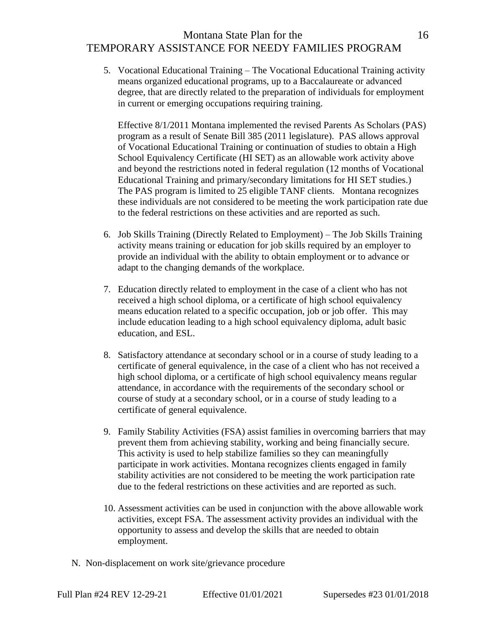# Montana State Plan for the 16 TEMPORARY ASSISTANCE FOR NEEDY FAMILIES PROGRAM

5. Vocational Educational Training – The Vocational Educational Training activity means organized educational programs, up to a Baccalaureate or advanced degree, that are directly related to the preparation of individuals for employment in current or emerging occupations requiring training.

Effective 8/1/2011 Montana implemented the revised Parents As Scholars (PAS) program as a result of Senate Bill 385 (2011 legislature). PAS allows approval of Vocational Educational Training or continuation of studies to obtain a High School Equivalency Certificate (HI SET) as an allowable work activity above and beyond the restrictions noted in federal regulation (12 months of Vocational Educational Training and primary/secondary limitations for HI SET studies.) The PAS program is limited to 25 eligible TANF clients. Montana recognizes these individuals are not considered to be meeting the work participation rate due to the federal restrictions on these activities and are reported as such.

- 6. Job Skills Training (Directly Related to Employment) The Job Skills Training activity means training or education for job skills required by an employer to provide an individual with the ability to obtain employment or to advance or adapt to the changing demands of the workplace.
- 7. Education directly related to employment in the case of a client who has not received a high school diploma, or a certificate of high school equivalency means education related to a specific occupation, job or job offer. This may include education leading to a high school equivalency diploma, adult basic education, and ESL.
- 8. Satisfactory attendance at secondary school or in a course of study leading to a certificate of general equivalence, in the case of a client who has not received a high school diploma, or a certificate of high school equivalency means regular attendance, in accordance with the requirements of the secondary school or course of study at a secondary school, or in a course of study leading to a certificate of general equivalence.
- 9. Family Stability Activities (FSA) assist families in overcoming barriers that may prevent them from achieving stability, working and being financially secure. This activity is used to help stabilize families so they can meaningfully participate in work activities. Montana recognizes clients engaged in family stability activities are not considered to be meeting the work participation rate due to the federal restrictions on these activities and are reported as such.
- 10. Assessment activities can be used in conjunction with the above allowable work activities, except FSA. The assessment activity provides an individual with the opportunity to assess and develop the skills that are needed to obtain employment.
- N. Non-displacement on work site/grievance procedure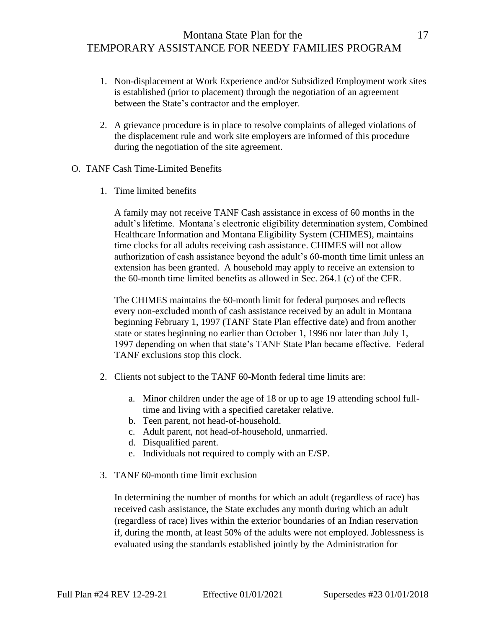- 1. Non-displacement at Work Experience and/or Subsidized Employment work sites is established (prior to placement) through the negotiation of an agreement between the State's contractor and the employer.
- 2. A grievance procedure is in place to resolve complaints of alleged violations of the displacement rule and work site employers are informed of this procedure during the negotiation of the site agreement.
- O. TANF Cash Time-Limited Benefits
	- 1. Time limited benefits

A family may not receive TANF Cash assistance in excess of 60 months in the adult's lifetime. Montana's electronic eligibility determination system, Combined Healthcare Information and Montana Eligibility System (CHIMES), maintains time clocks for all adults receiving cash assistance. CHIMES will not allow authorization of cash assistance beyond the adult's 60-month time limit unless an extension has been granted. A household may apply to receive an extension to the 60-month time limited benefits as allowed in Sec. 264.1 (c) of the CFR.

The CHIMES maintains the 60-month limit for federal purposes and reflects every non-excluded month of cash assistance received by an adult in Montana beginning February 1, 1997 (TANF State Plan effective date) and from another state or states beginning no earlier than October 1, 1996 nor later than July 1, 1997 depending on when that state's TANF State Plan became effective. Federal TANF exclusions stop this clock.

- 2. Clients not subject to the TANF 60-Month federal time limits are:
	- a. Minor children under the age of 18 or up to age 19 attending school fulltime and living with a specified caretaker relative.
	- b. Teen parent, not head-of-household.
	- c. Adult parent, not head-of-household, unmarried.
	- d. Disqualified parent.
	- e. Individuals not required to comply with an E/SP.
- 3. TANF 60-month time limit exclusion

In determining the number of months for which an adult (regardless of race) has received cash assistance, the State excludes any month during which an adult (regardless of race) lives within the exterior boundaries of an Indian reservation if, during the month, at least 50% of the adults were not employed. Joblessness is evaluated using the standards established jointly by the Administration for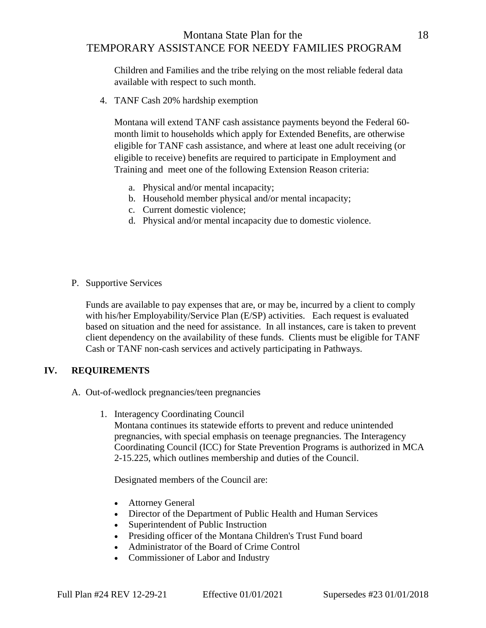## Montana State Plan for the 18 TEMPORARY ASSISTANCE FOR NEEDY FAMILIES PROGRAM

Children and Families and the tribe relying on the most reliable federal data available with respect to such month.

4. TANF Cash 20% hardship exemption

Montana will extend TANF cash assistance payments beyond the Federal 60 month limit to households which apply for Extended Benefits, are otherwise eligible for TANF cash assistance, and where at least one adult receiving (or eligible to receive) benefits are required to participate in Employment and Training and meet one of the following Extension Reason criteria:

- a. Physical and/or mental incapacity;
- b. Household member physical and/or mental incapacity;
- c. Current domestic violence;
- d. Physical and/or mental incapacity due to domestic violence.
- P. Supportive Services

Funds are available to pay expenses that are, or may be, incurred by a client to comply with his/her Employability/Service Plan (E/SP) activities. Each request is evaluated based on situation and the need for assistance. In all instances, care is taken to prevent client dependency on the availability of these funds. Clients must be eligible for TANF Cash or TANF non-cash services and actively participating in Pathways.

#### **IV. REQUIREMENTS**

- A. Out-of-wedlock pregnancies/teen pregnancies
	- 1. Interagency Coordinating Council

Montana continues its statewide efforts to prevent and reduce unintended pregnancies, with special emphasis on teenage pregnancies. The Interagency Coordinating Council (ICC) for State Prevention Programs is authorized in MCA 2-15.225, which outlines membership and duties of the Council.

Designated members of the Council are:

- Attorney General
- Director of the Department of Public Health and Human Services
- Superintendent of Public Instruction
- Presiding officer of the Montana Children's Trust Fund board
- Administrator of the Board of Crime Control
- Commissioner of Labor and Industry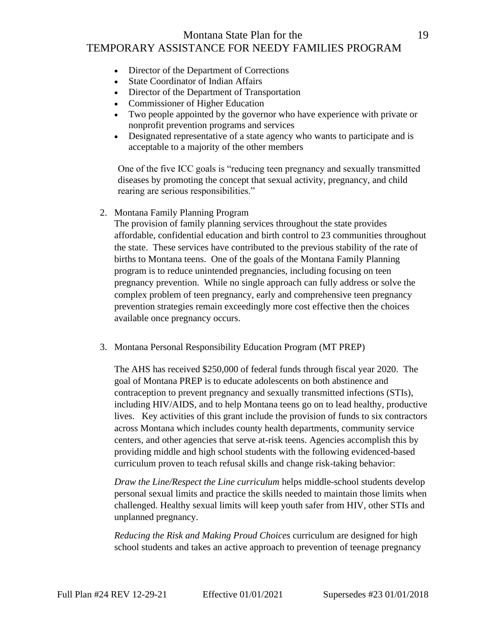# Montana State Plan for the 19 TEMPORARY ASSISTANCE FOR NEEDY FAMILIES PROGRAM

- Director of the Department of Corrections
- State Coordinator of Indian Affairs
- Director of the Department of Transportation
- Commissioner of Higher Education
- Two people appointed by the governor who have experience with private or nonprofit prevention programs and services
- Designated representative of a state agency who wants to participate and is acceptable to a majority of the other members

One of the five ICC goals is "reducing teen pregnancy and sexually transmitted diseases by promoting the concept that sexual activity, pregnancy, and child rearing are serious responsibilities."

2. Montana Family Planning Program

The provision of family planning services throughout the state provides affordable, confidential education and birth control to 23 communities throughout the state. These services have contributed to the previous stability of the rate of births to Montana teens. One of the goals of the Montana Family Planning program is to reduce unintended pregnancies, including focusing on teen pregnancy prevention. While no single approach can fully address or solve the complex problem of teen pregnancy, early and comprehensive teen pregnancy prevention strategies remain exceedingly more cost effective then the choices available once pregnancy occurs.

3. Montana Personal Responsibility Education Program (MT PREP)

The AHS has received \$250,000 of federal funds through fiscal year 2020. The goal of Montana PREP is to educate adolescents on both abstinence and contraception to prevent pregnancy and sexually transmitted infections (STIs), including HIV/AIDS, and to help Montana teens go on to lead healthy, productive lives. Key activities of this grant include the provision of funds to six contractors across Montana which includes county health departments, community service centers, and other agencies that serve at-risk teens. Agencies accomplish this by providing middle and high school students with the following evidenced-based curriculum proven to teach refusal skills and change risk-taking behavior:

*Draw the Line/Respect the Line curriculum* helps middle-school students develop personal sexual limits and practice the skills needed to maintain those limits when challenged. Healthy sexual limits will keep youth safer from HIV, other STIs and unplanned pregnancy.

*Reducing the Risk and Making Proud Choices* curriculum are designed for high school students and takes an active approach to prevention of teenage pregnancy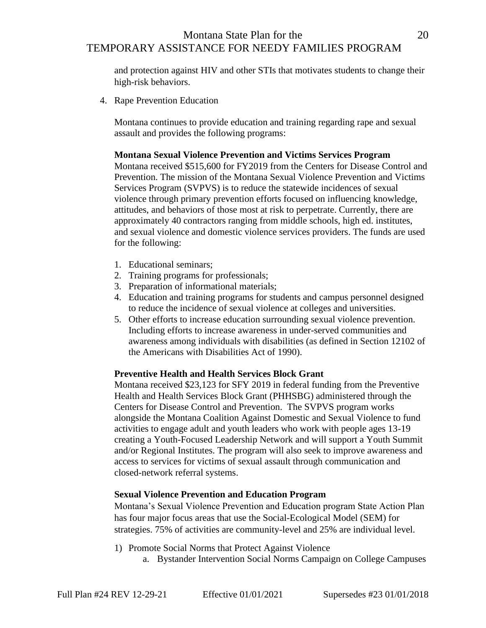# Montana State Plan for the 20 TEMPORARY ASSISTANCE FOR NEEDY FAMILIES PROGRAM

and protection against HIV and other STIs that motivates students to change their high-risk behaviors.

4. Rape Prevention Education

Montana continues to provide education and training regarding rape and sexual assault and provides the following programs:

#### **Montana Sexual Violence Prevention and Victims Services Program**

Montana received \$515,600 for FY2019 from the Centers for Disease Control and Prevention. The mission of the Montana Sexual Violence Prevention and Victims Services Program (SVPVS) is to reduce the statewide incidences of sexual violence through primary prevention efforts focused on influencing knowledge, attitudes, and behaviors of those most at risk to perpetrate. Currently, there are approximately 40 contractors ranging from middle schools, high ed. institutes, and sexual violence and domestic violence services providers. The funds are used for the following:

- 1. Educational seminars;
- 2. Training programs for professionals;
- 3. Preparation of informational materials;
- 4. Education and training programs for students and campus personnel designed to reduce the incidence of sexual violence at colleges and universities.
- 5. Other efforts to increase education surrounding sexual violence prevention. Including efforts to increase awareness in under-served communities and awareness among individuals with disabilities (as defined in Section 12102 of the Americans with Disabilities Act of 1990).

#### **Preventive Health and Health Services Block Grant**

Montana received \$23,123 for SFY 2019 in federal funding from the Preventive Health and Health Services Block Grant (PHHSBG) administered through the Centers for Disease Control and Prevention. The SVPVS program works alongside the Montana Coalition Against Domestic and Sexual Violence to fund activities to engage adult and youth leaders who work with people ages 13-19 creating a Youth-Focused Leadership Network and will support a Youth Summit and/or Regional Institutes. The program will also seek to improve awareness and access to services for victims of sexual assault through communication and closed-network referral systems.

#### **Sexual Violence Prevention and Education Program**

Montana's Sexual Violence Prevention and Education program State Action Plan has four major focus areas that use the Social-Ecological Model (SEM) for strategies. 75% of activities are community-level and 25% are individual level.

- 1) Promote Social Norms that Protect Against Violence
	- a. Bystander Intervention Social Norms Campaign on College Campuses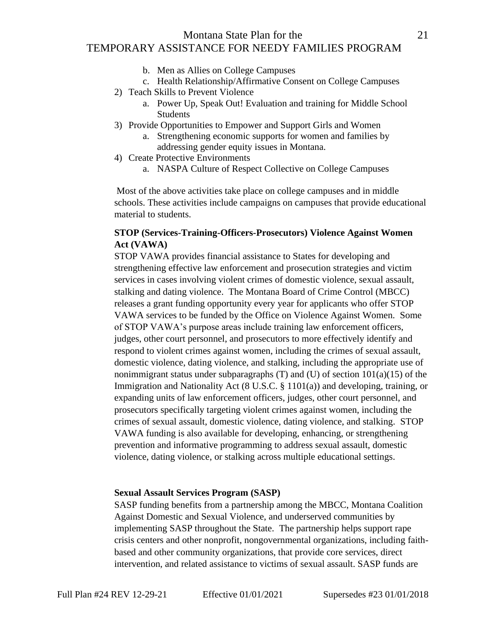# Montana State Plan for the 21 TEMPORARY ASSISTANCE FOR NEEDY FAMILIES PROGRAM

- b. Men as Allies on College Campuses
- c. Health Relationship/Affirmative Consent on College Campuses
- 2) Teach Skills to Prevent Violence
	- a. Power Up, Speak Out! Evaluation and training for Middle School **Students**
- 3) Provide Opportunities to Empower and Support Girls and Women
	- a. Strengthening economic supports for women and families by addressing gender equity issues in Montana.
- 4) Create Protective Environments
	- a. NASPA Culture of Respect Collective on College Campuses

Most of the above activities take place on college campuses and in middle schools. These activities include campaigns on campuses that provide educational material to students.

## **STOP (Services-Training-Officers-Prosecutors) Violence Against Women Act (VAWA)**

STOP VAWA provides financial assistance to States for developing and strengthening effective law enforcement and prosecution strategies and victim services in cases involving violent crimes of domestic violence, sexual assault, stalking and dating violence. The Montana Board of Crime Control (MBCC) releases a grant funding opportunity every year for applicants who offer STOP VAWA services to be funded by the Office on Violence Against Women. Some of STOP VAWA's purpose areas include training law enforcement officers, judges, other court personnel, and prosecutors to more effectively identify and respond to violent crimes against women, including the crimes of sexual assault, domestic violence, dating violence, and stalking, including the appropriate use of nonimmigrant status under subparagraphs  $(T)$  and  $(U)$  of section  $101(a)(15)$  of the Immigration and Nationality Act (8 U.S.C. § 1101(a)) and developing, training, or expanding units of law enforcement officers, judges, other court personnel, and prosecutors specifically targeting violent crimes against women, including the crimes of sexual assault, domestic violence, dating violence, and stalking. STOP VAWA funding is also available for developing, enhancing, or strengthening prevention and informative programming to address sexual assault, domestic violence, dating violence, or stalking across multiple educational settings.

#### **Sexual Assault Services Program (SASP)**

SASP funding benefits from a partnership among the MBCC, Montana Coalition Against Domestic and Sexual Violence, and underserved communities by implementing SASP throughout the State. The partnership helps support rape crisis centers and other nonprofit, nongovernmental organizations, including faithbased and other community organizations, that provide core services, direct intervention, and related assistance to victims of sexual assault. SASP funds are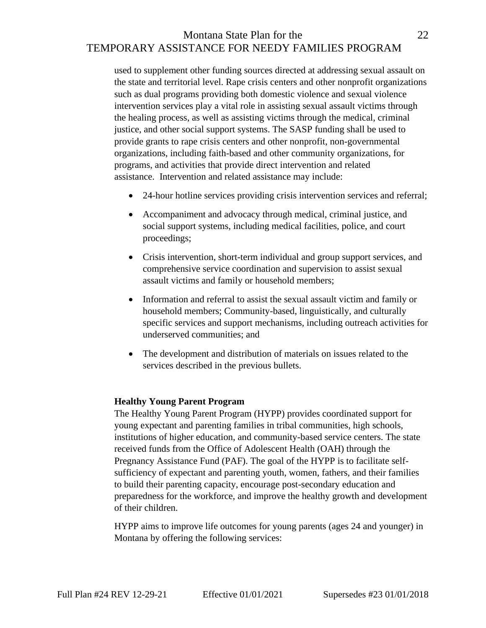# Montana State Plan for the 22 TEMPORARY ASSISTANCE FOR NEEDY FAMILIES PROGRAM

used to supplement other funding sources directed at addressing sexual assault on the state and territorial level. Rape crisis centers and other nonprofit organizations such as dual programs providing both domestic violence and sexual violence intervention services play a vital role in assisting sexual assault victims through the healing process, as well as assisting victims through the medical, criminal justice, and other social support systems. The SASP funding shall be used to provide grants to rape crisis centers and other nonprofit, non-governmental organizations, including faith-based and other community organizations, for programs, and activities that provide direct intervention and related assistance. Intervention and related assistance may include:

- 24-hour hotline services providing crisis intervention services and referral;
- Accompaniment and advocacy through medical, criminal justice, and social support systems, including medical facilities, police, and court proceedings;
- Crisis intervention, short-term individual and group support services, and comprehensive service coordination and supervision to assist sexual assault victims and family or household members;
- Information and referral to assist the sexual assault victim and family or household members; Community-based, linguistically, and culturally specific services and support mechanisms, including outreach activities for underserved communities; and
- The development and distribution of materials on issues related to the services described in the previous bullets.

#### **Healthy Young Parent Program**

The Healthy Young Parent Program (HYPP) provides coordinated support for young expectant and parenting families in tribal communities, high schools, institutions of higher education, and community-based service centers. The state received funds from the Office of Adolescent Health (OAH) through the Pregnancy Assistance Fund (PAF). The goal of the HYPP is to facilitate selfsufficiency of expectant and parenting youth, women, fathers, and their families to build their parenting capacity, encourage post-secondary education and preparedness for the workforce, and improve the healthy growth and development of their children.

HYPP aims to improve life outcomes for young parents (ages 24 and younger) in Montana by offering the following services: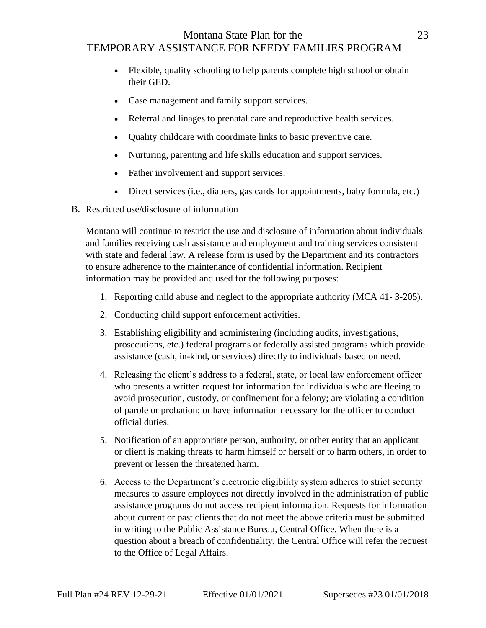# Montana State Plan for the 23 TEMPORARY ASSISTANCE FOR NEEDY FAMILIES PROGRAM

- Flexible, quality schooling to help parents complete high school or obtain their GED.
- Case management and family support services.
- Referral and linages to prenatal care and reproductive health services.
- Quality childcare with coordinate links to basic preventive care.
- Nurturing, parenting and life skills education and support services.
- Father involvement and support services.
- Direct services (i.e., diapers, gas cards for appointments, baby formula, etc.)
- B. Restricted use/disclosure of information

Montana will continue to restrict the use and disclosure of information about individuals and families receiving cash assistance and employment and training services consistent with state and federal law. A release form is used by the Department and its contractors to ensure adherence to the maintenance of confidential information. Recipient information may be provided and used for the following purposes:

- 1. Reporting child abuse and neglect to the appropriate authority (MCA 41- 3-205).
- 2. Conducting child support enforcement activities.
- 3. Establishing eligibility and administering (including audits, investigations, prosecutions, etc.) federal programs or federally assisted programs which provide assistance (cash, in-kind, or services) directly to individuals based on need.
- 4. Releasing the client's address to a federal, state, or local law enforcement officer who presents a written request for information for individuals who are fleeing to avoid prosecution, custody, or confinement for a felony; are violating a condition of parole or probation; or have information necessary for the officer to conduct official duties.
- 5. Notification of an appropriate person, authority, or other entity that an applicant or client is making threats to harm himself or herself or to harm others, in order to prevent or lessen the threatened harm.
- 6. Access to the Department's electronic eligibility system adheres to strict security measures to assure employees not directly involved in the administration of public assistance programs do not access recipient information. Requests for information about current or past clients that do not meet the above criteria must be submitted in writing to the Public Assistance Bureau, Central Office. When there is a question about a breach of confidentiality, the Central Office will refer the request to the Office of Legal Affairs.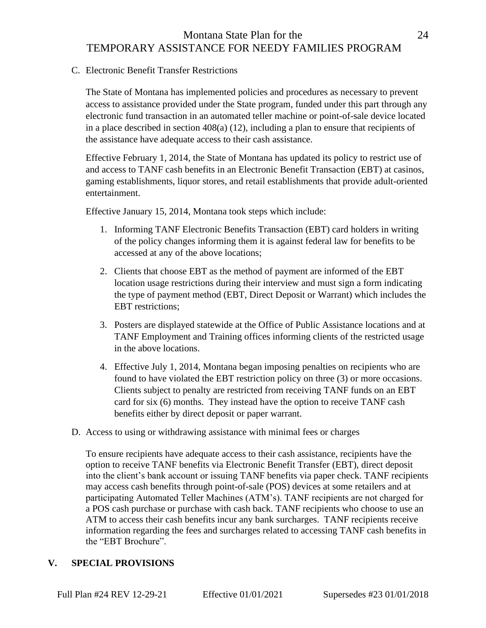# Montana State Plan for the 24 TEMPORARY ASSISTANCE FOR NEEDY FAMILIES PROGRAM

C. Electronic Benefit Transfer Restrictions

The State of Montana has implemented policies and procedures as necessary to prevent access to assistance provided under the State program, funded under this part through any electronic fund transaction in an automated teller machine or point-of-sale device located in a place described in section 408(a) (12), including a plan to ensure that recipients of the assistance have adequate access to their cash assistance.

Effective February 1, 2014, the State of Montana has updated its policy to restrict use of and access to TANF cash benefits in an Electronic Benefit Transaction (EBT) at casinos, gaming establishments, liquor stores, and retail establishments that provide adult-oriented entertainment.

Effective January 15, 2014, Montana took steps which include:

- 1. Informing TANF Electronic Benefits Transaction (EBT) card holders in writing of the policy changes informing them it is against federal law for benefits to be accessed at any of the above locations;
- 2. Clients that choose EBT as the method of payment are informed of the EBT location usage restrictions during their interview and must sign a form indicating the type of payment method (EBT, Direct Deposit or Warrant) which includes the EBT restrictions;
- 3. Posters are displayed statewide at the Office of Public Assistance locations and at TANF Employment and Training offices informing clients of the restricted usage in the above locations.
- 4. Effective July 1, 2014, Montana began imposing penalties on recipients who are found to have violated the EBT restriction policy on three (3) or more occasions. Clients subject to penalty are restricted from receiving TANF funds on an EBT card for six (6) months. They instead have the option to receive TANF cash benefits either by direct deposit or paper warrant.
- D. Access to using or withdrawing assistance with minimal fees or charges

To ensure recipients have adequate access to their cash assistance, recipients have the option to receive TANF benefits via Electronic Benefit Transfer (EBT), direct deposit into the client's bank account or issuing TANF benefits via paper check. TANF recipients may access cash benefits through point-of-sale (POS) devices at some retailers and at participating Automated Teller Machines (ATM's). TANF recipients are not charged for a POS cash purchase or purchase with cash back. TANF recipients who choose to use an ATM to access their cash benefits incur any bank surcharges. TANF recipients receive information regarding the fees and surcharges related to accessing TANF cash benefits in the "EBT Brochure".

#### **V. SPECIAL PROVISIONS**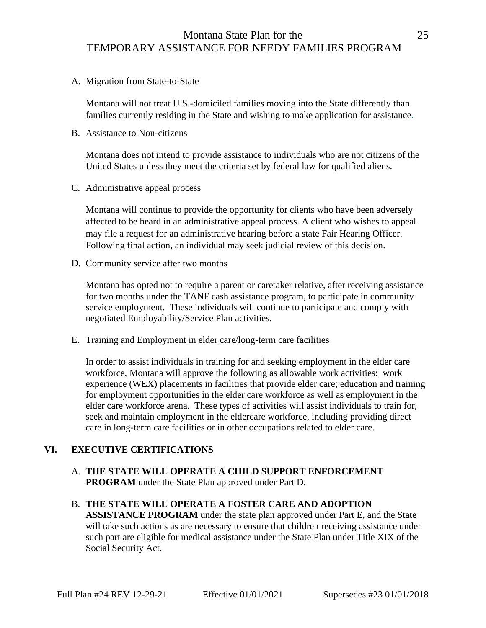## Montana State Plan for the 25 TEMPORARY ASSISTANCE FOR NEEDY FAMILIES PROGRAM

A. Migration from State-to-State

Montana will not treat U.S.-domiciled families moving into the State differently than families currently residing in the State and wishing to make application for assistance.

B. Assistance to Non-citizens

Montana does not intend to provide assistance to individuals who are not citizens of the United States unless they meet the criteria set by federal law for qualified aliens.

C. Administrative appeal process

Montana will continue to provide the opportunity for clients who have been adversely affected to be heard in an administrative appeal process. A client who wishes to appeal may file a request for an administrative hearing before a state Fair Hearing Officer. Following final action, an individual may seek judicial review of this decision.

D. Community service after two months

Montana has opted not to require a parent or caretaker relative, after receiving assistance for two months under the TANF cash assistance program, to participate in community service employment. These individuals will continue to participate and comply with negotiated Employability/Service Plan activities.

E. Training and Employment in elder care/long-term care facilities

In order to assist individuals in training for and seeking employment in the elder care workforce, Montana will approve the following as allowable work activities: work experience (WEX) placements in facilities that provide elder care; education and training for employment opportunities in the elder care workforce as well as employment in the elder care workforce arena. These types of activities will assist individuals to train for, seek and maintain employment in the eldercare workforce, including providing direct care in long-term care facilities or in other occupations related to elder care.

## **VI. EXECUTIVE CERTIFICATIONS**

- A. **THE STATE WILL OPERATE A CHILD SUPPORT ENFORCEMENT PROGRAM** under the State Plan approved under Part D.
- B. **THE STATE WILL OPERATE A FOSTER CARE AND ADOPTION ASSISTANCE PROGRAM** under the state plan approved under Part E, and the State will take such actions as are necessary to ensure that children receiving assistance under such part are eligible for medical assistance under the State Plan under Title XIX of the Social Security Act.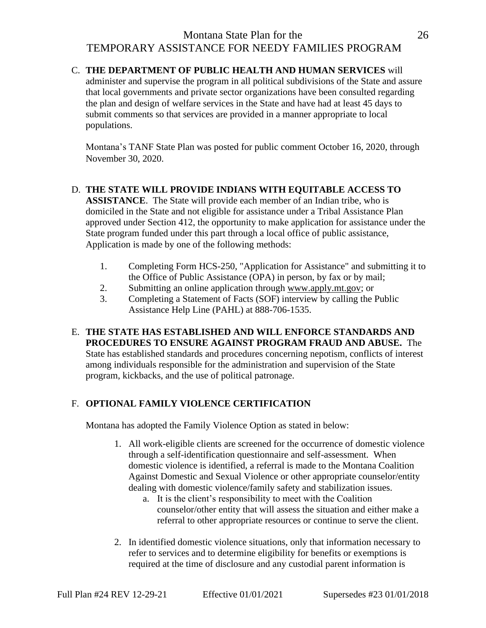# Montana State Plan for the 26 TEMPORARY ASSISTANCE FOR NEEDY FAMILIES PROGRAM

#### C. **THE DEPARTMENT OF PUBLIC HEALTH AND HUMAN SERVICES** will

administer and supervise the program in all political subdivisions of the State and assure that local governments and private sector organizations have been consulted regarding the plan and design of welfare services in the State and have had at least 45 days to submit comments so that services are provided in a manner appropriate to local populations.

Montana's TANF State Plan was posted for public comment October 16, 2020, through November 30, 2020.

#### D. **THE STATE WILL PROVIDE INDIANS WITH EQUITABLE ACCESS TO**

**ASSISTANCE**. The State will provide each member of an Indian tribe, who is domiciled in the State and not eligible for assistance under a Tribal Assistance Plan approved under Section 412, the opportunity to make application for assistance under the State program funded under this part through a local office of public assistance, Application is made by one of the following methods:

- 1. Completing Form HCS-250, "Application for Assistance" and submitting it to the Office of Public Assistance (OPA) in person, by fax or by mail;
- 2. Submitting an online application through [www.apply.mt.gov;](http://www.apply.mt.gov/) or
- 3. Completing a Statement of Facts (SOF) interview by calling the Public Assistance Help Line (PAHL) at 888-706-1535.

## E. **THE STATE HAS ESTABLISHED AND WILL ENFORCE STANDARDS AND PROCEDURES TO ENSURE AGAINST PROGRAM FRAUD AND ABUSE.** The State has established standards and procedures concerning nepotism, conflicts of interest among individuals responsible for the administration and supervision of the State program, kickbacks, and the use of political patronage.

## F. **OPTIONAL FAMILY VIOLENCE CERTIFICATION**

Montana has adopted the Family Violence Option as stated in below:

- 1. All work-eligible clients are screened for the occurrence of domestic violence through a self-identification questionnaire and self-assessment. When domestic violence is identified, a referral is made to the Montana Coalition Against Domestic and Sexual Violence or other appropriate counselor/entity dealing with domestic violence/family safety and stabilization issues.
	- a. It is the client's responsibility to meet with the Coalition counselor/other entity that will assess the situation and either make a referral to other appropriate resources or continue to serve the client.
- 2. In identified domestic violence situations, only that information necessary to refer to services and to determine eligibility for benefits or exemptions is required at the time of disclosure and any custodial parent information is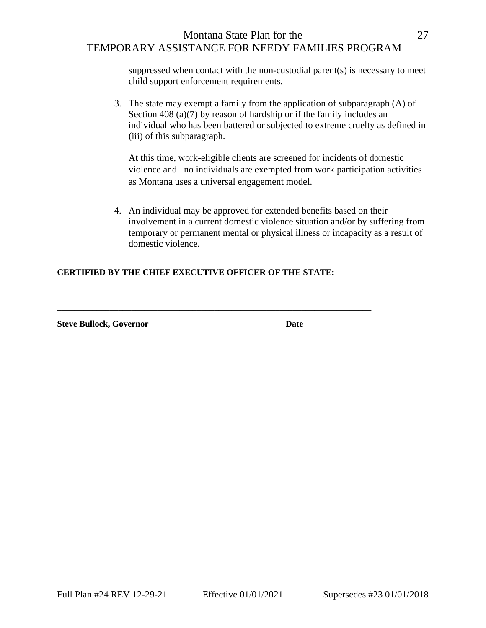Montana State Plan for the 27 TEMPORARY ASSISTANCE FOR NEEDY FAMILIES PROGRAM

> suppressed when contact with the non-custodial parent(s) is necessary to meet child support enforcement requirements.

3. The state may exempt a family from the application of subparagraph (A) of Section 408 (a)(7) by reason of hardship or if the family includes an individual who has been battered or subjected to extreme cruelty as defined in (iii) of this subparagraph.

At this time, work-eligible clients are screened for incidents of domestic violence and no individuals are exempted from work participation activities as Montana uses a universal engagement model.

4. An individual may be approved for extended benefits based on their involvement in a current domestic violence situation and/or by suffering from temporary or permanent mental or physical illness or incapacity as a result of domestic violence.

## **CERTIFIED BY THE CHIEF EXECUTIVE OFFICER OF THE STATE:**

**\_\_\_\_\_\_\_\_\_\_\_\_\_\_\_\_\_\_\_\_\_\_\_\_\_\_\_\_\_\_\_\_\_\_\_\_\_\_\_\_\_\_\_\_\_\_\_\_\_\_\_\_\_\_\_\_\_\_\_\_\_\_\_\_\_\_\_\_\_\_\_\_**

**Steve Bullock, Governor Date**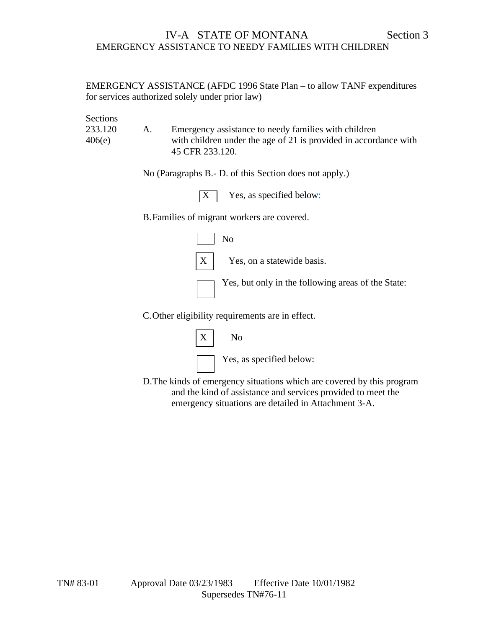EMERGENCY ASSISTANCE (AFDC 1996 State Plan – to allow TANF expenditures for services authorized solely under prior law)

Sections 233.120 A. Emergency assistance to needy families with children 406(e) with children under the age of 21 is provided in accordance with 45 CFR 233.120.

No (Paragraphs B.- D. of this Section does not apply.)

 $X$  Yes, as specified below:

B.Families of migrant workers are covered.



C.Other eligibility requirements are in effect.



D.The kinds of emergency situations which are covered by this program and the kind of assistance and services provided to meet the emergency situations are detailed in Attachment 3-A.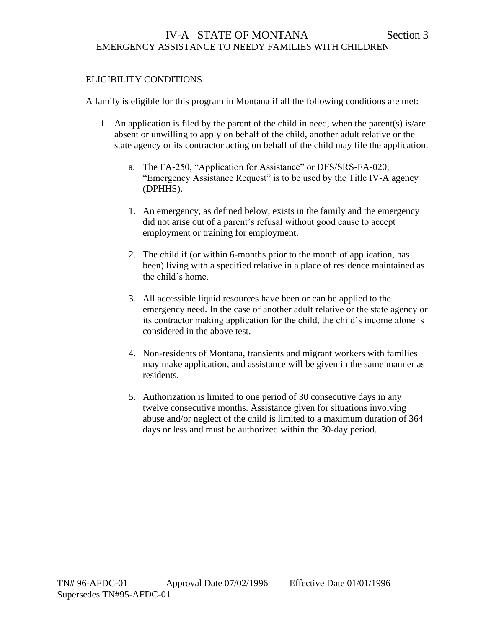## ELIGIBILITY CONDITIONS

A family is eligible for this program in Montana if all the following conditions are met:

- 1. An application is filed by the parent of the child in need, when the parent(s) is/are absent or unwilling to apply on behalf of the child, another adult relative or the state agency or its contractor acting on behalf of the child may file the application.
	- a. The FA-250, "Application for Assistance" or DFS/SRS-FA-020, "Emergency Assistance Request" is to be used by the Title IV-A agency (DPHHS).
	- 1. An emergency, as defined below, exists in the family and the emergency did not arise out of a parent's refusal without good cause to accept employment or training for employment.
	- 2. The child if (or within 6-months prior to the month of application, has been) living with a specified relative in a place of residence maintained as the child's home.
	- 3. All accessible liquid resources have been or can be applied to the emergency need. In the case of another adult relative or the state agency or its contractor making application for the child, the child's income alone is considered in the above test.
	- 4. Non-residents of Montana, transients and migrant workers with families may make application, and assistance will be given in the same manner as residents.
	- 5. Authorization is limited to one period of 30 consecutive days in any twelve consecutive months. Assistance given for situations involving abuse and/or neglect of the child is limited to a maximum duration of 364 days or less and must be authorized within the 30-day period.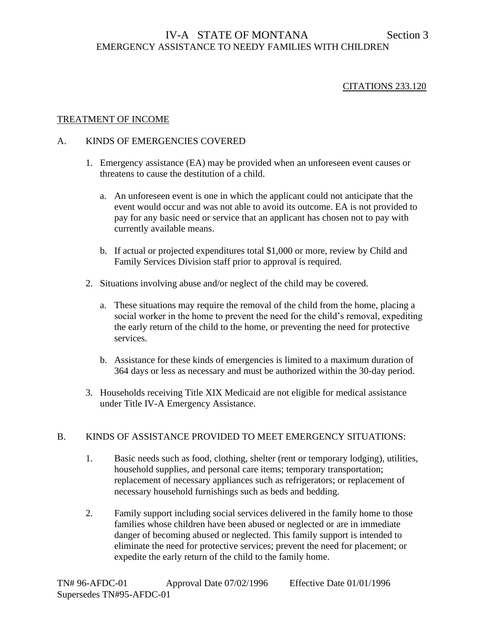## CITATIONS 233.120

### TREATMENT OF INCOME

### A. KINDS OF EMERGENCIES COVERED

- 1. Emergency assistance (EA) may be provided when an unforeseen event causes or threatens to cause the destitution of a child.
	- a. An unforeseen event is one in which the applicant could not anticipate that the event would occur and was not able to avoid its outcome. EA is not provided to pay for any basic need or service that an applicant has chosen not to pay with currently available means.
	- b. If actual or projected expenditures total \$1,000 or more, review by Child and Family Services Division staff prior to approval is required.
- 2. Situations involving abuse and/or neglect of the child may be covered.
	- a. These situations may require the removal of the child from the home, placing a social worker in the home to prevent the need for the child's removal, expediting the early return of the child to the home, or preventing the need for protective services.
	- b. Assistance for these kinds of emergencies is limited to a maximum duration of 364 days or less as necessary and must be authorized within the 30-day period.
- 3. Households receiving Title XIX Medicaid are not eligible for medical assistance under Title IV-A Emergency Assistance.

## B. KINDS OF ASSISTANCE PROVIDED TO MEET EMERGENCY SITUATIONS:

- 1. Basic needs such as food, clothing, shelter (rent or temporary lodging), utilities, household supplies, and personal care items; temporary transportation; replacement of necessary appliances such as refrigerators; or replacement of necessary household furnishings such as beds and bedding.
- 2. Family support including social services delivered in the family home to those families whose children have been abused or neglected or are in immediate danger of becoming abused or neglected. This family support is intended to eliminate the need for protective services; prevent the need for placement; or expedite the early return of the child to the family home.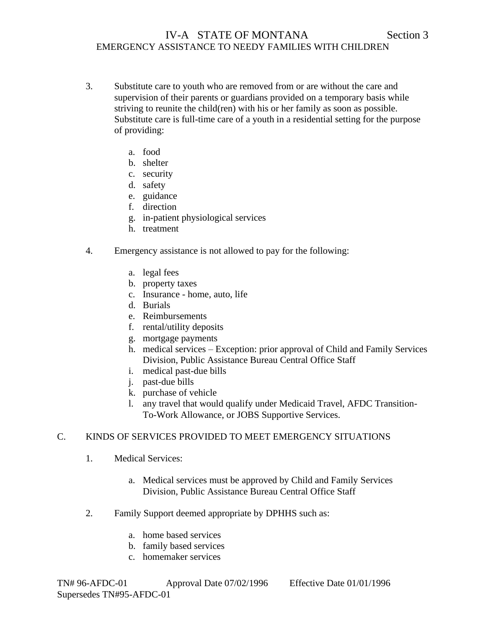- 3. Substitute care to youth who are removed from or are without the care and supervision of their parents or guardians provided on a temporary basis while striving to reunite the child(ren) with his or her family as soon as possible. Substitute care is full-time care of a youth in a residential setting for the purpose of providing:
	- a. food
	- b. shelter
	- c. security
	- d. safety
	- e. guidance
	- f. direction
	- g. in-patient physiological services
	- h. treatment
- 4. Emergency assistance is not allowed to pay for the following:
	- a. legal fees
	- b. property taxes
	- c. Insurance home, auto, life
	- d. Burials
	- e. Reimbursements
	- f. rental/utility deposits
	- g. mortgage payments
	- h. medical services Exception: prior approval of Child and Family Services Division, Public Assistance Bureau Central Office Staff
	- i. medical past-due bills
	- j. past-due bills
	- k. purchase of vehicle
	- l. any travel that would qualify under Medicaid Travel, AFDC Transition-To-Work Allowance, or JOBS Supportive Services.

## C. KINDS OF SERVICES PROVIDED TO MEET EMERGENCY SITUATIONS

- 1. Medical Services:
	- a. Medical services must be approved by Child and Family Services Division, Public Assistance Bureau Central Office Staff
- 2. Family Support deemed appropriate by DPHHS such as:
	- a. home based services
	- b. family based services
	- c. homemaker services